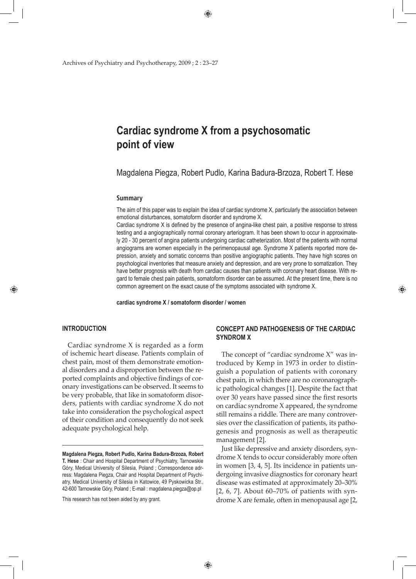Archives of Psychiatry and Psychotherapy, 2009 ; 2 : 23–27

# **Cardiac syndrome X from a psychosomatic point of view**

Magdalena Piegza, Robert Pudlo, Karina Badura-Brzoza, Robert T. Hese

#### **Summary**

The aim of this paper was to explain the idea of cardiac syndrome X, particularly the association between emotional disturbances, somatoform disorder and syndrome X.

Cardiac syndrome X is defined by the presence of angina-like chest pain, a positive response to stress testing and a angiographically normal coronary arteriogram. It has been shown to occur in approximately 20 - 30 percent of angina patients undergoing cardiac catheterization. Most of the patients with normal angiograms are women especially in the perimenopausal age. Syndrome X patients reported more depression, anxiety and somatic concerns than positive angiographic patients. They have high scores on psychological inventories that measure anxiety and depression, and are very prone to somatization. They have better prognosis with death from cardiac causes than patients with coronary heart disease. With regard to female chest pain patients, somatoform disorder can be assumed. At the present time, there is no common agreement on the exact cause of the symptoms associated with syndrome X.

**cardiac syndrome X / somatoform disorder / women**

## **INTRODUCTION**

⊕

Cardiac syndrome X is regarded as a form of ischemic heart disease. Patients complain of chest pain, most of them demonstrate emotional disorders and a disproportion between the reported complaints and objective findings of coronary investigations can be observed. It seems to be very probable, that like in somatoform disorders, patients with cardiac syndrome X do not take into consideration the psychological aspect of their condition and consequently do not seek adequate psychological help.

This research has not been aided by any grant.

# **CONCEPT AND PATHOGENESIS OF THE CARDIAC SYNDROM X**

♠

The concept of "cardiac syndrome X" was introduced by Kemp in 1973 in order to distinguish a population of patients with coronary chest pain, in which there are no coronarographic pathological changes [1]. Despite the fact that over 30 years have passed since the first resorts on cardiac syndrome X appeared, the syndrome still remains a riddle. There are many controversies over the classification of patients, its pathogenesis and prognosis as well as therapeutic management [2].

Just like depressive and anxiety disorders, syndrome X tends to occur considerably more often in women [3, 4, 5]. Its incidence in patients undergoing invasive diagnostics for coronary heart disease was estimated at approximately 20–30% [2, 6, 7]. About 60–70% of patients with syndrome X are female, often in menopausal age [2,

**Magdalena Piegza, Robert Pudlo, Karina Badura-Brzoza, Robert T. Hese** : Chair and Hospital Department of Psychiatry, Tarnowskie Góry, Medical University of Silesia, Poland ; Correspondence adrress: Magdalena Piegza, Chair and Hospital Department of Psychiatry, Medical University of Silesia in Katowice, 49 Pyskowicka Str., 42-600 Tarnowskie Góry, Poland ; E-mail : magdalena.piegza@op.pl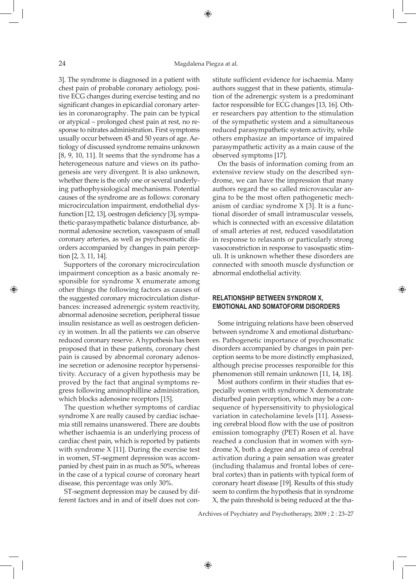3]. The syndrome is diagnosed in a patient with chest pain of probable coronary aetiology, positive ECG changes during exercise testing and no significant changes in epicardial coronary arteries in coronarography. The pain can be typical or atypical – prolonged chest pain at rest, no response to nitrates administration. First symptoms usually occur between 45 and 50 years of age. Aetiology of discussed syndrome remains unknown [8, 9, 10, 11]. It seems that the syndrome has a heterogeneous nature and views on its pathogenesis are very divergent. It is also unknown, whether there is the only one or several underlying pathophysiological mechanisms. Potential causes of the syndrome are as follows: coronary microcirculation impairment, endothelial dysfunction [12, 13], oestrogen deficiency [3], sympathetic-parasympathetic balance disturbance, abnormal adenosine secretion, vasospasm of small coronary arteries, as well as psychosomatic disorders accompanied by changes in pain perception [2, 3, 11, 14].

Supporters of the coronary microcirculation impairment conception as a basic anomaly responsible for syndrome X enumerate among other things the following factors as causes of the suggested coronary microcirculation disturbances: increased adrenergic system reactivity, abnormal adenosine secretion, peripheral tissue insulin resistance as well as oestrogen deficiency in women. In all the patients we can observe reduced coronary reserve. A hypothesis has been proposed that in these patients, coronary chest pain is caused by abnormal coronary adenosine secretion or adenosine receptor hypersensitivity. Accuracy of a given hypothesis may be proved by the fact that anginal symptoms regress following aminophilline administration, which blocks adenosine receptors [15].

The question whether symptoms of cardiac syndrome X are really caused by cardiac ischaemia still remains unanswered. There are doubts whether ischaemia is an underlying process of cardiac chest pain, which is reported by patients with syndrome X [11]. During the exercise test in women, ST-segment depression was accompanied by chest pain in as much as 50%, whereas in the case of a typical course of coronary heart disease, this percentage was only 30%.

ST-segment depression may be caused by different factors and in and of itself does not constitute sufficient evidence for ischaemia. Many authors suggest that in these patients, stimulation of the adrenergic system is a predominant factor responsible for ECG changes [13, 16]. Other researchers pay attention to the stimulation of the sympathetic system and a simultaneous reduced parasympathetic system activity, while others emphasize an importance of impaired parasympathetic activity as a main cause of the observed symptoms [17].

On the basis of information coming from an extensive review study on the described syndrome, we can have the impression that many authors regard the so called microvascular angina to be the most often pathogenetic mechanism of cardiac syndrome X [3]. It is a functional disorder of small intramuscular vessels, which is connected with an excessive dilatation of small arteries at rest, reduced vasodilatation in response to relaxants or particularly strong vasoconstriction in response to vasospastic stimuli. It is unknown whether these disorders are connected with smooth muscle dysfunction or abnormal endothelial activity.

# **RELATIONSHIP BETWEEN SYNDROM X, EMOTIONAL AND SOMATOFORM DISORDERS**

⊕

Some intriguing relations have been observed between syndrome X and emotional disturbances. Pathogenetic importance of psychosomatic disorders accompanied by changes in pain perception seems to be more distinctly emphasized, although precise processes responsible for this phenomenon still remain unknown [11, 14, 18].

Most authors confirm in their studies that especially women with syndrome X demonstrate disturbed pain perception, which may be a consequence of hypersensitivity to physiological variation in catecholamine levels [11]. Assessing cerebral blood flow with the use of positron emission tomography (PET) Rosen et al. have reached a conclusion that in women with syndrome X, both a degree and an area of cerebral activation during a pain sensation was greater (including thalamus and frontal lobes of cerebral cortex) than in patients with typical form of coronary heart disease [19]. Results of this study seem to confirm the hypothesis that in syndrome X, the pain threshold is being reduced at the tha-

Archives of Psychiatry and Psychotherapy, 2009 ; 2 : 23–27

⊕

⊕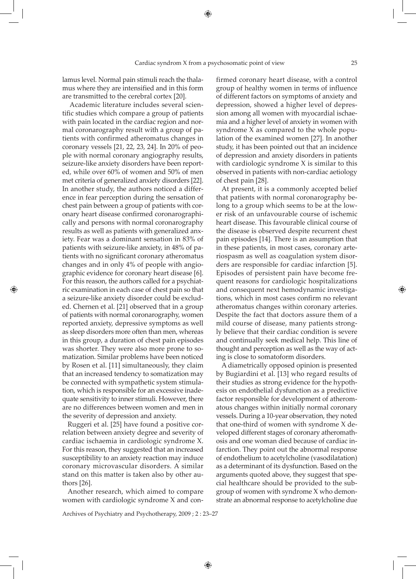lamus level. Normal pain stimuli reach the thalamus where they are intensified and in this form are transmitted to the cerebral cortex [20].

 Academic literature includes several scientific studies which compare a group of patients with pain located in the cardiac region and normal coronarography result with a group of patients with confirmed atheromatus changes in coronary vessels [21, 22, 23, 24]. In 20% of people with normal coronary angiography results, seizure-like anxiety disorders have been reported, while over 60% of women and 50% of men met criteria of generalized anxiety disorders [22]. In another study, the authors noticed a difference in fear perception during the sensation of chest pain between a group of patients with coronary heart disease confirmed coronarographically and persons with normal coronarography results as well as patients with generalized anxiety. Fear was a dominant sensation in 83% of patients with seizure-like anxiety, in 48% of patients with no significant coronary atheromatus changes and in only 4% of people with angiographic evidence for coronary heart disease [6]. For this reason, the authors called for a psychiatric examination in each case of chest pain so that a seizure-like anxiety disorder could be excluded. Chernen et al. [21] observed that in a group of patients with normal coronarography, women reported anxiety, depressive symptoms as well as sleep disorders more often than men, whereas in this group, a duration of chest pain episodes was shorter. They were also more prone to somatization. Similar problems have been noticed by Rosen et al. [11] simultaneously, they claim that an increased tendency to somatization may be connected with sympathetic system stimulation, which is responsible for an excessive inadequate sensitivity to inner stimuli. However, there are no differences between women and men in the severity of depression and anxiety.

⊕

Ruggeri et al. [25] have found a positive correlation between anxiety degree and severity of cardiac ischaemia in cardiologic syndrome X. For this reason, they suggested that an increased susceptibility to an anxiety reaction may induce coronary microvascular disorders. A similar stand on this matter is taken also by other authors [26].

Another research, which aimed to compare women with cardiologic syndrome X and con-

Archives of Psychiatry and Psychotherapy, 2009 ; 2 : 23–27

firmed coronary heart disease, with a control group of healthy women in terms of influence of different factors on symptoms of anxiety and depression, showed a higher level of depression among all women with myocardial ischaemia and a higher level of anxiety in women with syndrome X as compared to the whole population of the examined women [27]. In another study, it has been pointed out that an incidence of depression and anxiety disorders in patients with cardiologic syndrome X is similar to this observed in patients with non-cardiac aetiology of chest pain [28].

At present, it is a commonly accepted belief that patients with normal coronarography belong to a group which seems to be at the lower risk of an unfavourable course of ischemic heart disease. This favourable clinical course of the disease is observed despite recurrent chest pain episodes [14]. There is an assumption that in these patients, in most cases, coronary arteriospasm as well as coagulation system disorders are responsible for cardiac infarction [5]. Episodes of persistent pain have become frequent reasons for cardiologic hospitalizations and consequent next hemodynamic investigations, which in most cases confirm no relevant atheromatus changes within coronary arteries. Despite the fact that doctors assure them of a mild course of disease, many patients strongly believe that their cardiac condition is severe and continually seek medical help. This line of thought and perception as well as the way of acting is close to somatoform disorders.

A diametrically opposed opinion is presented by Bugiardini et al. [13] who regard results of their studies as strong evidence for the hypothesis on endothelial dysfunction as a predictive factor responsible for development of atheromatous changes within initially normal coronary vessels. During a 10-year observation, they noted that one-third of women with syndrome X developed different stages of coronary atheromathosis and one woman died because of cardiac infarction. They point out the abnormal response of endothelium to acetylcholine (vasodilatation) as a determinant of its dysfunction. Based on the arguments quoted above, they suggest that special healthcare should be provided to the subgroup of women with syndrome X who demonstrate an abnormal response to acetylcholine due

⊕

⊕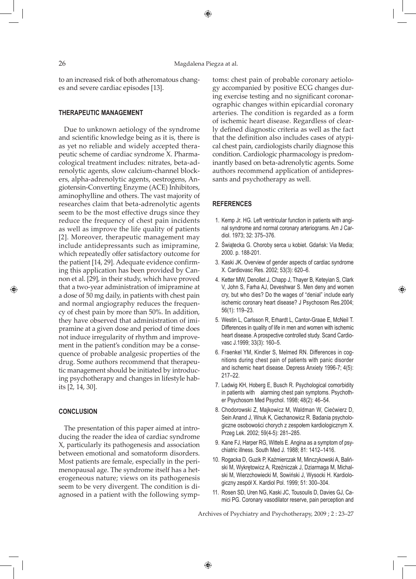to an increased risk of both atheromatous changes and severe cardiac episodes [13].

# **THERAPEUTIC MANAGEMENT**

Due to unknown aetiology of the syndrome and scientific knowledge being as it is, there is as yet no reliable and widely accepted therapeutic scheme of cardiac syndrome X. Pharmacological treatment includes: nitrates, beta-adrenolytic agents, slow calcium-channel blockers, alpha-adrenolytic agents, oestrogens, Angiotensin-Converting Enzyme (ACE) Inhibitors, aminophylline and others. The vast majority of researches claim that beta-adrenolytic agents seem to be the most effective drugs since they reduce the frequency of chest pain incidents as well as improve the life quality of patients [2]. Moreover, therapeutic management may include antidepressants such as imipramine, which repeatedly offer satisfactory outcome for the patient [14, 29]. Adequate evidence confirming this application has been provided by Cannon et al. [29], in their study, which have proved that a two-year administration of imipramine at a dose of 50 mg daily, in patients with chest pain and normal angiography reduces the frequency of chest pain by more than 50%. In addition, they have observed that administration of imipramine at a given dose and period of time does not induce irregularity of rhythm and improvement in the patient's condition may be a consequence of probable analgesic properties of the drug. Some authors recommend that therapeutic management should be initiated by introducing psychotherapy and changes in lifestyle habits [2, 14, 30].

## **CONCLUSION**

⊕

The presentation of this paper aimed at introducing the reader the idea of cardiac syndrome X, particularly its pathogenesis and association between emotional and somatoform disorders. Most patients are female, especially in the perimenopausal age. The syndrome itself has a heterogeneous nature; views on its pathogenesis seem to be very divergent. The condition is diagnosed in a patient with the following symptoms: chest pain of probable coronary aetiology accompanied by positive ECG changes during exercise testing and no significant coronarographic changes within epicardial coronary arteries. The condition is regarded as a form of ischemic heart disease. Regardless of clearly defined diagnostic criteria as well as the fact that the definition also includes cases of atypical chest pain, cardiologists charily diagnose this condition. Cardiologic pharmacology is predominantly based on beta-adrenolytic agents. Some authors recommend application of antidepressants and psychotherapy as well.

## **References**

- 1. Kemp Jr. HG. Left ventricular function in patients with anginal syndrome and normal coronary arteriograms. Am J Cardiol. 1973; 32: 375–376.
- 2. Świątecka G. Choroby serca u kobiet. Gdańsk: Via Media; 2000. p. 188-201.
- 3. Kaski JK. Overview of gender aspects of cardiac syndrome X. Cardiovasc Res. 2002; 53(3): 620–6.
- 4. Ketter MW, Denollet J, Chapp J, Thayer B, Keteyian S, Clark V, John S, Farha AJ, Deveshwar S. Men deny and women cry, but who dies? Do the wages of "denial" include early ischemic coronary heart disease? J Psychosom Res.2004; 56(1): 119–23.

⊕

- 5. Westin L, Carlsson R, Erhardt L, Cantor-Graae E, McNeil T. Differences in quality of life in men and women with ischemic heart disease. A prospective controlled study. Scand Cardiovasc J.1999; 33(3): 160–5.
- 6. Fraenkel YM, Kindler S, Melmed RN. Differences in cognitions during chest pain of patients with panic disorder and ischemic heart disease. Depress Anxiety 1996-7; 4(5): 217–22.
- 7. Ladwig KH, Hoberg E, Busch R. Psychological comorbidity in patients with alarming chest pain symptoms. Psychother Psychosom Med Psychol. 1998; 48(2): 46–54.
- 8. Chodorowski Z, Majkowicz M, Waldman W, Ciećwierz D, Sein Anand J, Wnuk K, Ciechanowicz R. Badania psychologiczne osobowości chorych z zespołem kardiologicznym X. Przeg Lek. 2002; 59(4-5): 281–285.
- 9. Kane FJ, Harper RG, Wittels E. Angina as a symptom of psychiatric illness. South Med J. 1988; 81: 1412–1416.
- 10. Rogacka D, Guzik P, Kaźmierczak M, Minczykowski A, Baliński M, Wykrętowicz A, Rzeźniczak J, Dziarmaga M, Michalski M, Wierzchowiecki M, Sowiński J, Wysocki H. Kardiologiczny zespół X. Kardiol Pol. 1999; 51: 300–304.
- 11. Rosen SD, Uren NG, Kaski JC, Tousoulis D, Davies GJ, Camici PG. Coronary vasodilator reserve, pain perception and

Archives of Psychiatry and Psychotherapy, 2009 ; 2 : 23–27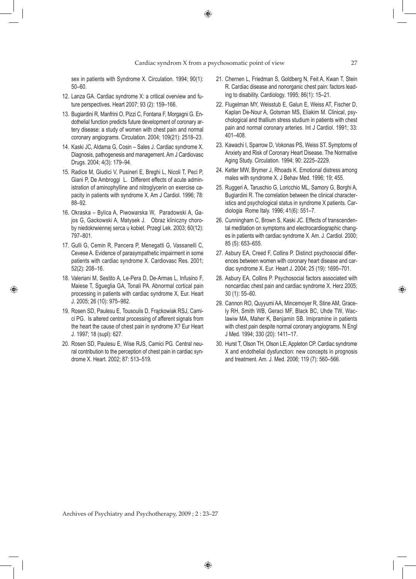sex in patients with Syndrome X. Circulation. 1994; 90(1): 50–60.

- 12. Lanza GA. Cardiac syndrome X: a critical overview and future perspectives. Heart 2007; 93 (2): 159–166.
- 13. Bugiardini R, Manfrini O, Pizzi C, Fontana F, Morgagni G. Endothelial function predicts future development of coronary artery disease: a study of women with chest pain and normal coronary angiograms. Circulation. 2004; 109(21): 2518–23.
- 14. Kaski JC, Aldama G, Cosin Sales J. Cardiac syndrome X. Diagnosis, pathogenesis and management. Am J Cardiovasc Drugs. 2004; 4(3): 179–94.
- 15. Radice M, Giudici V, Pusineri E, Breghi L, Nicoli T, Peci P, Giani P, De Ambroggi L. Different effects of acute administration of aminophylline and nitroglycerin on exercise capacity in patients with syndrome X. Am J Cardiol. 1996; 78: 88–92.
- 16. Okraska Bylica A, Piwowarska W, Paradowski A, Gajos G, Gackowski A, Matysek J. Obraz kliniczny choroby niedokrwiennej serca u kobiet. Przegl Lek. 2003; 60(12): 797–801.
- 17. Gulli G, Cemin R, Pancera P, Menegatti G, Vassanelli C, Cevese A. Evidence of parasympathetic impairment in some patients with cardiac syndrome X. Cardiovasc Res. 2001; 52(2): 208–16.
- 18. Valeriani M, Sestito A, Le-Pera D, De-Armas L, Infusino F, Maiese T, Sgueglia GA, Tonali PA. Abnormal cortical pain processing in patients with cardiac syndrome X, Eur. Heart J. 2005; 26 (10): 975–982.

♠

- 19. Rosen SD, Paulesu E, Tousoulis D, Frąckowiak RSJ, Camici PG. Is altered central processing of afferent signals from the heart the cause of chest pain in syndrome X? Eur Heart J. 1997; 18 (supl): 627.
- 20. Rosen SD, Paulesu E, Wise RJS, Camici PG. Central neural contribution to the perception of chest pain in cardiac syndrome X. Heart. 2002; 87: 513–519.
- 21. Chernen L, Friedman S, Goldberg N, Feit A, Kwan T, Stein R. Cardiac disease and nonorganic chest pain: factors leading to disability. Cardiology. 1995; 86(1): 15–21.
- 22. Flugelman MY, Weisstub E, Galun E, Weiss AT, Fischer D, Kaplan De-Nour A, Gotsman MS, Eliakim M. Clinical, psychological and thallium stress studium in patients with chest pain and normal coronary arteries. Int J Cardiol. 1991; 33: 401–408.
- 23. Kawachi I, Sparrow D, Vokonas PS, Weiss ST. Symptoms of Anxiety and Risk of Coronary Heart Disease. The Normative Aging Study. Circulation. 1994; 90: 2225–2229.
- 24. Ketter MW, Brymer J, Rhoads K. Emotional distress among males with syndrome X. J Behav Med. 1996; 19; 455.
- 25. Ruggeri A, Taruschio G, Loricchio ML, Samory G, Borghi A, Bugiardini R. The correlation between the clinical characteristics and psychological status in syndrome X patients. Cardiologia Rome Italy. 1996; 41(6): 551–7.
- 26. Cunningham C, Brown S, Kaski JC. Effects of transcendental meditation on symptoms and electrocardiographic changes in patients with cardiac syndrome X. Am. J. Cardiol. 2000; 85 (5): 653–655.
- 27. Asbury EA, Creed F, Collins P. Distinct psychosocial differences between women with coronary heart disease and cardiac syndrome X. Eur. Heart J. 2004; 25 (19): 1695–701.
- 28. Asbury EA, Collins P. Psychosocial factors associated with noncardiac chest pain and cardiac syndrome X. Herz 2005; 30 (1): 55–60.
- 29. Cannon RO, Quyyumi AA, Mincemoyer R, Stine AM, Gracely RH, Smith WB, Geraci MF, Black BC, Uhde TW, Waclawiw MA, Maher K, Benjamin SB. Imipramine in patients with chest pain despite normal coronary angiograms. N Engl J Med. 1994; 330 (20): 1411–17.
- 30. Hurst T, Olson TH, Olson LE, Appleton CP. Cardiac syndrome X and endothelial dysfunction: new concepts in prognosis and treatment. Am. J. Med. 2006; 119 (7): 560–566.

Archives of Psychiatry and Psychotherapy, 2009 ; 2 : 23–27

⊕

♠